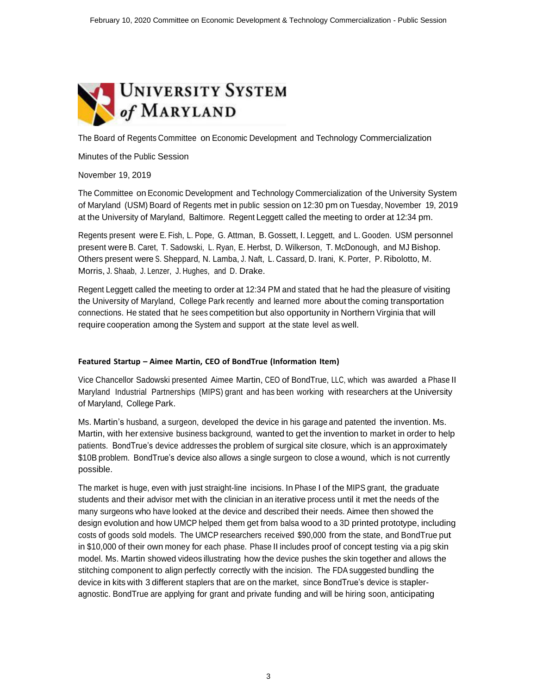

The Board of Regents Committee on Economic Development and Technology Commercialization

Minutes of the Public Session

November 19, 2019

The Committee on Economic Development and Technology Commercialization of the University System of Maryland (USM) Board of Regents met in public session on 12:30 pm on Tuesday, November 19, 2019 at the University of Maryland, Baltimore. Regent Leggett called the meeting to order at 12:34 pm.

Regents present were E. Fish, L. Pope, G. Attman, B. Gossett, I. Leggett, and L. Gooden. USM personnel present were B. Caret, T. Sadowski, L. Ryan, E. Herbst, D. Wilkerson, T. McDonough, and MJ Bishop. Others present were S. Sheppard, N. Lamba, J. Naft, L. Cassard, D. Irani, K. Porter, P. Ribolotto, M. Morris, J. Shaab, J. Lenzer, J. Hughes, and D. Drake.

Regent Leggett called the meeting to order at 12:34 PM and stated that he had the pleasure of visiting the University of Maryland, College Park recently and learned more about the coming transportation connections. He stated that he sees competition but also opportunity in Northern Virginia that will require cooperation among the System and support at the state level as well.

#### **Featured Startup – Aimee Martin, CEO of BondTrue (Information Item)**

Vice Chancellor Sadowski presented Aimee Martin, CEO of BondTrue, LLC, which was awarded a Phase II Maryland Industrial Partnerships (MIPS) grant and has been working with researchers at the University of Maryland, College Park.

Ms. Martin's husband, a surgeon, developed the device in his garage and patented the invention. Ms. Martin, with her extensive business background, wanted to get the invention to market in order to help patients. BondTrue's device addresses the problem of surgical site closure, which is an approximately \$10B problem. BondTrue's device also allows a single surgeon to close a wound, which is not currently possible.

The market is huge, even with just straight-line incisions. In Phase I of the MIPS grant, the graduate students and their advisor met with the clinician in an iterative process until it met the needs of the many surgeons who have looked at the device and described their needs. Aimee then showed the design evolution and how UMCP helped them get from balsa wood to a 3D printed prototype, including costs of goods sold models. The UMCP researchers received \$90,000 from the state, and BondTrue put in \$10,000 of their own money for each phase. Phase II includes proof of concept testing via a pig skin model. Ms. Martin showed videos illustrating how the device pushes the skin together and allows the stitching component to align perfectly correctly with the incision. The FDA suggested bundling the device in kits with 3 different staplers that are on the market, since BondTrue's device is stapleragnostic. BondTrue are applying for grant and private funding and will be hiring soon, anticipating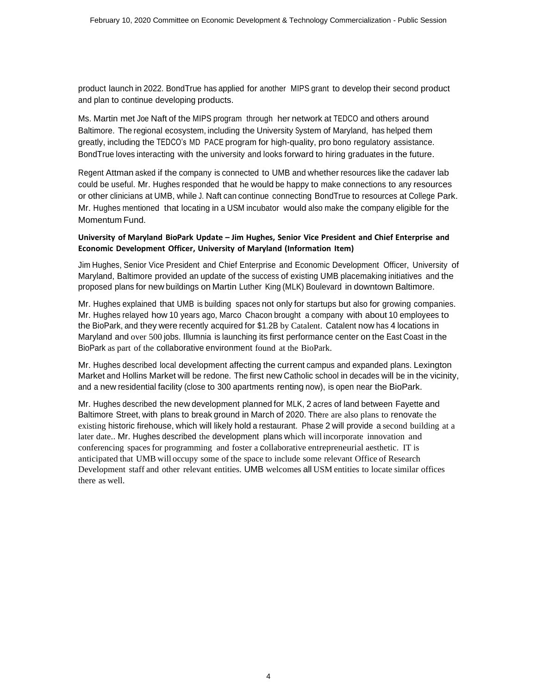product launch in 2022. BondTrue has applied for another MIPS grant to develop their second product and plan to continue developing products.

Ms. Martin met Joe Naft of the MIPS program through her network at TEDCO and others around Baltimore. The regional ecosystem, including the University System of Maryland, has helped them greatly, including the TEDCO's MD PACE program for high-quality, pro bono regulatory assistance. BondTrue loves interacting with the university and looks forward to hiring graduates in the future.

Regent Attman asked if the company is connected to UMB and whether resources like the cadaver lab could be useful. Mr. Hughes responded that he would be happy to make connections to any resources or other clinicians at UMB, while J. Naft can continue connecting BondTrue to resources at College Park. Mr. Hughes mentioned that locating in a USM incubator would also make the company eligible for the Momentum Fund.

#### **University of Maryland BioPark Update – Jim Hughes, Senior Vice President and Chief Enterprise and Economic Development Officer, University of Maryland (Information Item)**

Jim Hughes, Senior Vice President and Chief Enterprise and Economic Development Officer, University of Maryland, Baltimore provided an update of the success of existing UMB placemaking initiatives and the proposed plans for new buildings on Martin Luther King (MLK) Boulevard in downtown Baltimore.

Mr. Hughes explained that UMB is building spaces not only for startups but also for growing companies. Mr. Hughes relayed how 10 years ago, Marco Chacon brought a company with about 10 employees to the BioPark, and they were recently acquired for \$1.2B by Catalent. Catalent now has 4 locations in Maryland and over 500 jobs. Illumnia is launching its first performance center on the East Coast in the BioPark as part of the collaborative environment found at the BioPark.

Mr. Hughes described local development affecting the current campus and expanded plans. Lexington Market and Hollins Market will be redone. The first new Catholic school in decades will be in the vicinity, and a new residential facility (close to 300 apartments renting now), is open near the BioPark.

Mr. Hughes described the new development planned for MLK, 2 acres of land between Fayette and Baltimore Street, with plans to break ground in March of 2020. There are also plans to renovate the existing historic firehouse, which will likely hold a restaurant. Phase 2 will provide a second building at a later date.. Mr. Hughes described the development plans which will incorporate innovation and conferencing spaces for programming and foster a collaborative entrepreneurial aesthetic. IT is anticipated that UMB will occupy some of the space to include some relevant Office of Research Development staff and other relevant entities. UMB welcomes all USM entities to locate similar offices there as well.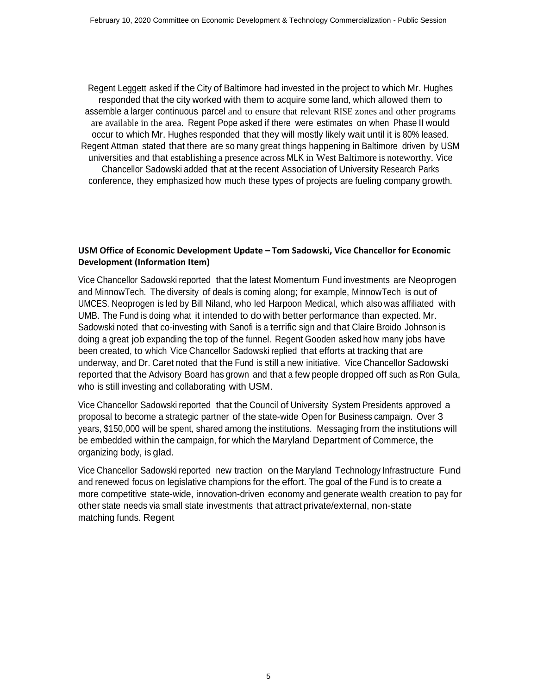Regent Leggett asked if the City of Baltimore had invested in the project to which Mr. Hughes responded that the city worked with them to acquire some land, which allowed them to assemble a larger continuous parcel and to ensure that relevant RISE zones and other programs are available in the area. Regent Pope asked if there were estimates on when Phase II would occur to which Mr. Hughes responded that they will mostly likely wait until it is 80% leased. Regent Attman stated that there are so many great things happening in Baltimore driven by USM universities and that establishing a presence across MLK in West Baltimore is noteworthy. Vice Chancellor Sadowski added that at the recent Association of University Research Parks conference, they emphasized how much these types of projects are fueling company growth.

# **USM Office of Economic Development Update – Tom Sadowski, Vice Chancellor for Economic Development (Information Item)**

Vice Chancellor Sadowski reported that the latest Momentum Fund investments are Neoprogen and MinnowTech. The diversity of deals is coming along; for example, MinnowTech is out of UMCES. Neoprogen is led by Bill Niland, who led Harpoon Medical, which also was affiliated with UMB. The Fund is doing what it intended to do with better performance than expected. Mr. Sadowski noted that co-investing with Sanofi is a terrific sign and that Claire Broido Johnson is doing a great job expanding the top of the funnel. Regent Gooden asked how many jobs have been created, to which Vice Chancellor Sadowski replied that efforts at tracking that are underway, and Dr. Caret noted that the Fund is still a new initiative. Vice Chancellor Sadowski reported that the Advisory Board has grown and that a few people dropped off such as Ron Gula, who is still investing and collaborating with USM.

Vice Chancellor Sadowski reported that the Council of University System Presidents approved a proposal to become a strategic partner of the state-wide Open for Business campaign. Over 3 years, \$150,000 will be spent, shared among the institutions. Messaging from the institutions will be embedded within the campaign, for which the Maryland Department of Commerce, the organizing body, is glad.

Vice Chancellor Sadowski reported new traction on the Maryland Technology Infrastructure Fund and renewed focus on legislative champions for the effort. The goal of the Fund is to create a more competitive state-wide, innovation-driven economy and generate wealth creation to pay for other state needs via small state investments that attract private/external, non-state matching funds. Regent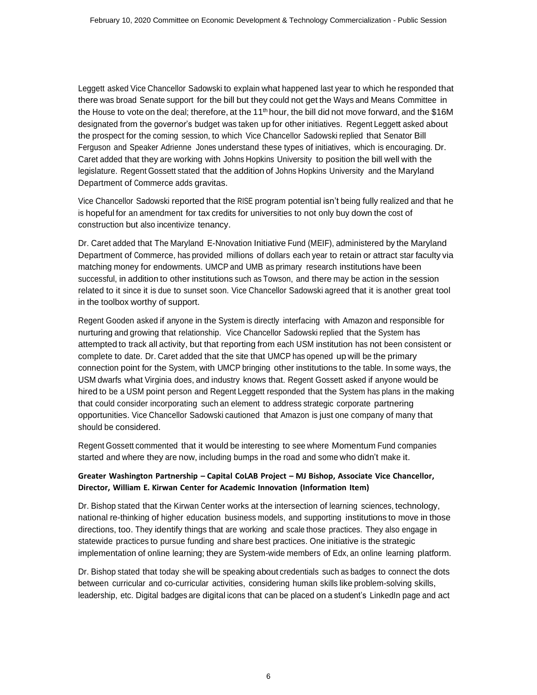Leggett asked Vice Chancellor Sadowski to explain what happened last year to which he responded that there was broad Senate support for the bill but they could not get the Ways and Means Committee in the House to vote on the deal; therefore, at the 11<sup>th</sup> hour, the bill did not move forward, and the \$16M designated from the governor's budget was taken up for other initiatives. Regent Leggett asked about the prospect for the coming session, to which Vice Chancellor Sadowski replied that Senator Bill Ferguson and Speaker Adrienne Jones understand these types of initiatives, which is encouraging. Dr. Caret added that they are working with Johns Hopkins University to position the bill well with the legislature. Regent Gossett stated that the addition of Johns Hopkins University and the Maryland Department of Commerce adds gravitas.

Vice Chancellor Sadowski reported that the RISE program potential isn't being fully realized and that he is hopeful for an amendment for tax credits for universities to not only buy down the cost of construction but also incentivize tenancy.

Dr. Caret added that The Maryland E-Nnovation Initiative Fund (MEIF), administered by the Maryland Department of Commerce, has provided millions of dollars each year to retain or attract star faculty via matching money for endowments. UMCP and UMB as primary research institutions have been successful, in addition to other institutions such as Towson, and there may be action in the session related to it since it is due to sunset soon. Vice Chancellor Sadowski agreed that it is another great tool in the toolbox worthy of support.

Regent Gooden asked if anyone in the System is directly interfacing with Amazon and responsible for nurturing and growing that relationship. Vice Chancellor Sadowski replied that the System has attempted to track all activity, but that reporting from each USM institution has not been consistent or complete to date. Dr. Caret added that the site that UMCP has opened up will be the primary connection point for the System, with UMCP bringing other institutions to the table. In some ways, the USM dwarfs what Virginia does, and industry knows that. Regent Gossett asked if anyone would be hired to be a USM point person and Regent Leggett responded that the System has plans in the making that could consider incorporating such an element to address strategic corporate partnering opportunities. Vice Chancellor Sadowski cautioned that Amazon is just one company of many that should be considered.

Regent Gossett commented that it would be interesting to see where Momentum Fund companies started and where they are now, including bumps in the road and some who didn't make it.

## **Greater Washington Partnership – Capital CoLAB Project – MJ Bishop, Associate Vice Chancellor, Director, William E. Kirwan Center for Academic Innovation (Information Item)**

Dr. Bishop stated that the Kirwan Center works at the intersection of learning sciences, technology, national re-thinking of higher education business models, and supporting institutions to move in those directions, too. They identify things that are working and scale those practices. They also engage in statewide practices to pursue funding and share best practices. One initiative is the strategic implementation of online learning; they are System-wide members of Edx, an online learning platform.

Dr. Bishop stated that today she will be speaking about credentials such as badges to connect the dots between curricular and co-curricular activities, considering human skills like problem-solving skills, leadership, etc. Digital badges are digital icons that can be placed on a student's LinkedIn page and act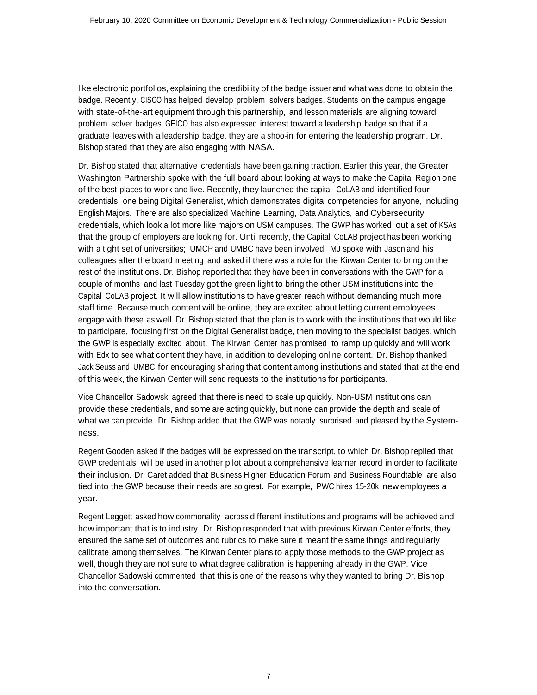like electronic portfolios, explaining the credibility of the badge issuer and what was done to obtain the badge. Recently, CISCO has helped develop problem solvers badges. Students on the campus engage with state-of-the-art equipment through this partnership, and lesson materials are aligning toward problem solver badges. GEICO has also expressed interest toward a leadership badge so that if a graduate leaves with a leadership badge, they are a shoo-in for entering the leadership program. Dr. Bishop stated that they are also engaging with NASA.

Dr. Bishop stated that alternative credentials have been gaining traction. Earlier this year, the Greater Washington Partnership spoke with the full board about looking at ways to make the Capital Region one of the best places to work and live. Recently, they launched the capital CoLAB and identified four credentials, one being Digital Generalist, which demonstrates digital competencies for anyone, including English Majors. There are also specialized Machine Learning, Data Analytics, and Cybersecurity credentials, which look a lot more like majors on USM campuses. The GWP has worked out a set of KSAs that the group of employers are looking for. Until recently, the Capital CoLAB project has been working with a tight set of universities; UMCP and UMBC have been involved. MJ spoke with Jason and his colleagues after the board meeting and asked if there was a role for the Kirwan Center to bring on the rest of the institutions. Dr. Bishop reported that they have been in conversations with the GWP for a couple of months and last Tuesday got the green light to bring the other USM institutions into the Capital CoLAB project. It will allow institutions to have greater reach without demanding much more staff time. Because much content will be online, they are excited about letting current employees engage with these as well. Dr. Bishop stated that the plan is to work with the institutions that would like to participate, focusing first on the Digital Generalist badge, then moving to the specialist badges, which the GWP is especially excited about. The Kirwan Center has promised to ramp up quickly and will work with Edx to see what content they have, in addition to developing online content. Dr. Bishop thanked Jack Seuss and UMBC for encouraging sharing that content among institutions and stated that at the end of this week, the Kirwan Center will send requests to the institutions for participants.

Vice Chancellor Sadowski agreed that there is need to scale up quickly. Non-USM institutions can provide these credentials, and some are acting quickly, but none can provide the depth and scale of what we can provide. Dr. Bishop added that the GWP was notably surprised and pleased by the Systemness.

Regent Gooden asked if the badges will be expressed on the transcript, to which Dr. Bishop replied that GWP credentials will be used in another pilot about a comprehensive learner record in order to facilitate their inclusion. Dr. Caret added that Business Higher Education Forum and Business Roundtable are also tied into the GWP because their needs are so great. For example, PWC hires 15-20k new employees a year.

Regent Leggett asked how commonality across different institutions and programs will be achieved and how important that is to industry. Dr. Bishop responded that with previous Kirwan Center efforts, they ensured the same set of outcomes and rubrics to make sure it meant the same things and regularly calibrate among themselves. The Kirwan Center plans to apply those methods to the GWP project as well, though they are not sure to what degree calibration is happening already in the GWP. Vice Chancellor Sadowski commented that this is one of the reasons why they wanted to bring Dr. Bishop into the conversation.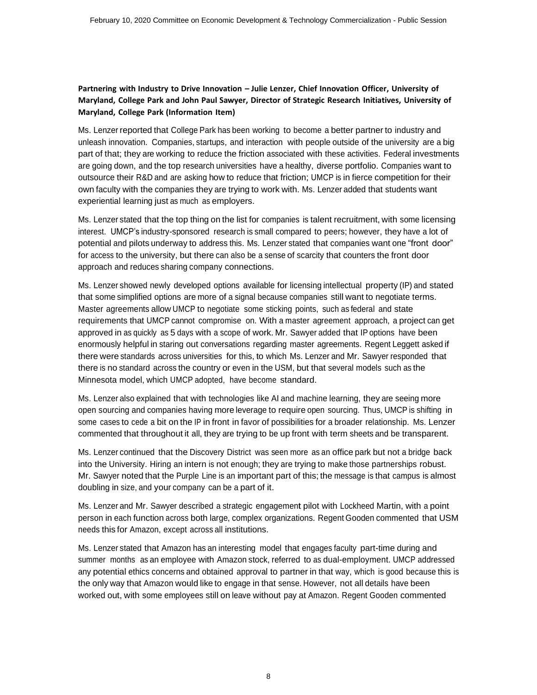### **Partnering with Industry to Drive Innovation – Julie Lenzer, Chief Innovation Officer, University of Maryland, College Park and John Paul Sawyer, Director of Strategic Research Initiatives, University of Maryland, College Park (Information Item)**

Ms. Lenzer reported that College Park has been working to become a better partner to industry and unleash innovation. Companies, startups, and interaction with people outside of the university are a big part of that; they are working to reduce the friction associated with these activities. Federal investments are going down, and the top research universities have a healthy, diverse portfolio. Companies want to outsource their R&D and are asking how to reduce that friction; UMCP is in fierce competition for their own faculty with the companies they are trying to work with. Ms. Lenzer added that students want experiential learning just as much as employers.

Ms. Lenzer stated that the top thing on the list for companies is talent recruitment, with some licensing interest. UMCP's industry-sponsored research is small compared to peers; however, they have a lot of potential and pilots underway to address this. Ms. Lenzer stated that companies want one "front door" for access to the university, but there can also be a sense of scarcity that counters the front door approach and reduces sharing company connections.

Ms. Lenzer showed newly developed options available for licensing intellectual property (IP) and stated that some simplified options are more of a signal because companies still want to negotiate terms. Master agreements allow UMCP to negotiate some sticking points, such as federal and state requirements that UMCP cannot compromise on. With a master agreement approach, a project can get approved in as quickly as 5 days with a scope of work. Mr. Sawyer added that IP options have been enormously helpful in staring out conversations regarding master agreements. Regent Leggett asked if there were standards across universities for this, to which Ms. Lenzer and Mr. Sawyer responded that there is no standard across the country or even in the USM, but that several models such as the Minnesota model, which UMCP adopted, have become standard.

Ms. Lenzer also explained that with technologies like AI and machine learning, they are seeing more open sourcing and companies having more leverage to require open sourcing. Thus, UMCP is shifting in some cases to cede a bit on the IP in front in favor of possibilities for a broader relationship. Ms. Lenzer commented that throughout it all, they are trying to be up front with term sheets and be transparent.

Ms. Lenzer continued that the Discovery District was seen more as an office park but not a bridge back into the University. Hiring an intern is not enough; they are trying to make those partnerships robust. Mr. Sawyer noted that the Purple Line is an important part of this; the message is that campus is almost doubling in size, and your company can be a part of it.

Ms. Lenzer and Mr. Sawyer described a strategic engagement pilot with Lockheed Martin, with a point person in each function across both large, complex organizations. Regent Gooden commented that USM needs this for Amazon, except across all institutions.

Ms. Lenzer stated that Amazon has an interesting model that engages faculty part-time during and summer months as an employee with Amazon stock, referred to as dual-employment. UMCP addressed any potential ethics concerns and obtained approval to partner in that way, which is good because this is the only way that Amazon would like to engage in that sense. However, not all details have been worked out, with some employees still on leave without pay at Amazon. Regent Gooden commented